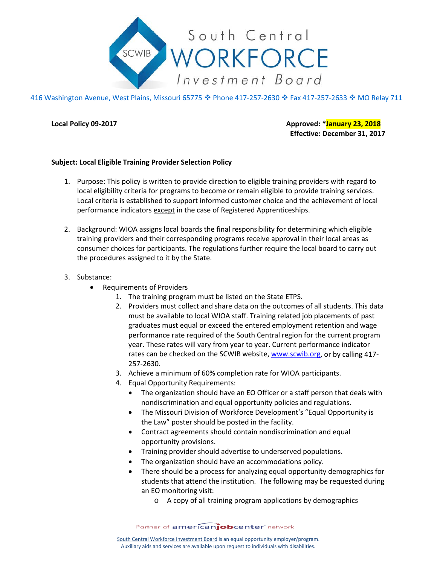

416 Washington Avenue, West Plains, Missouri 65775 ♦ Phone 417-257-2630 ♦ Fax 417-257-2633 ♦ MO Relay 711

**Local Policy 09-2017 Approved: \*January 23, 2018 Effective: December 31, 2017**

## **Subject: Local Eligible Training Provider Selection Policy**

- 1. Purpose: This policy is written to provide direction to eligible training providers with regard to local eligibility criteria for programs to become or remain eligible to provide training services. Local criteria is established to support informed customer choice and the achievement of local performance indicators except in the case of Registered Apprenticeships.
- 2. Background: WIOA assigns local boards the final responsibility for determining which eligible training providers and their corresponding programs receive approval in their local areas as consumer choices for participants. The regulations further require the local board to carry out the procedures assigned to it by the State.
- 3. Substance:
	- Requirements of Providers
		- 1. The training program must be listed on the State ETPS.
		- 2. Providers must collect and share data on the outcomes of all students. This data must be available to local WIOA staff. Training related job placements of past graduates must equal or exceed the entered employment retention and wage performance rate required of the South Central region for the current program year. These rates will vary from year to year. Current performance indicator rates can be checked on the SCWIB website, [www.scwib.org,](http://www.scwib.org/) or by calling 417- 257-2630.
		- 3. Achieve a minimum of 60% completion rate for WIOA participants.
		- 4. Equal Opportunity Requirements:
			- The organization should have an EO Officer or a staff person that deals with nondiscrimination and equal opportunity policies and regulations.
			- The Missouri Division of Workforce Development's "Equal Opportunity is the Law" poster should be posted in the facility.
			- Contract agreements should contain nondiscrimination and equal opportunity provisions.
			- Training provider should advertise to underserved populations.
			- The organization should have an accommodations policy.
			- There should be a process for analyzing equal opportunity demographics for students that attend the institution. The following may be requested during an EO monitoring visit:
				- o A copy of all training program applications by demographics

Partner of americanjobcenter network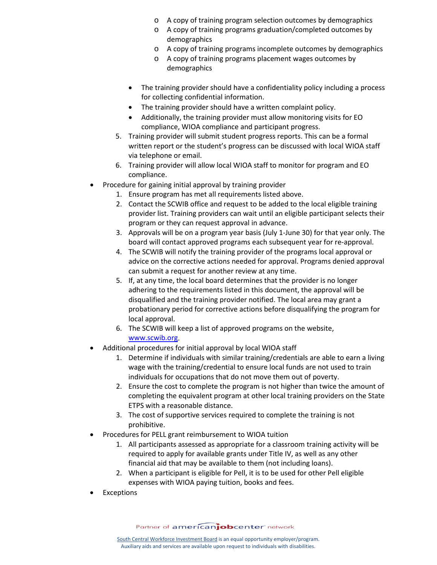- o A copy of training program selection outcomes by demographics
- o A copy of training programs graduation/completed outcomes by demographics
- o A copy of training programs incomplete outcomes by demographics
- o A copy of training programs placement wages outcomes by demographics
- The training provider should have a confidentiality policy including a process for collecting confidential information.
- The training provider should have a written complaint policy.
- Additionally, the training provider must allow monitoring visits for EO compliance, WIOA compliance and participant progress.
- 5. Training provider will submit student progress reports. This can be a formal written report or the student's progress can be discussed with local WIOA staff via telephone or email.
- 6. Training provider will allow local WIOA staff to monitor for program and EO compliance.
- Procedure for gaining initial approval by training provider
	- 1. Ensure program has met all requirements listed above.
	- 2. Contact the SCWIB office and request to be added to the local eligible training provider list. Training providers can wait until an eligible participant selects their program or they can request approval in advance.
	- 3. Approvals will be on a program year basis (July 1-June 30) for that year only. The board will contact approved programs each subsequent year for re-approval.
	- 4. The SCWIB will notify the training provider of the programs local approval or advice on the corrective actions needed for approval. Programs denied approval can submit a request for another review at any time.
	- 5. If, at any time, the local board determines that the provider is no longer adhering to the requirements listed in this document, the approval will be disqualified and the training provider notified. The local area may grant a probationary period for corrective actions before disqualifying the program for local approval.
	- 6. The SCWIB will keep a list of approved programs on the website, [www.scwib.org.](http://www.scwib.org/)
- Additional procedures for initial approval by local WIOA staff
	- 1. Determine if individuals with similar training/credentials are able to earn a living wage with the training/credential to ensure local funds are not used to train individuals for occupations that do not move them out of poverty.
	- 2. Ensure the cost to complete the program is not higher than twice the amount of completing the equivalent program at other local training providers on the State ETPS with a reasonable distance.
	- 3. The cost of supportive services required to complete the training is not prohibitive.
- Procedures for PELL grant reimbursement to WIOA tuition
	- 1. All participants assessed as appropriate for a classroom training activity will be required to apply for available grants under Title IV, as well as any other financial aid that may be available to them (not including loans).
	- 2. When a participant is eligible for Pell, it is to be used for other Pell eligible expenses with WIOA paying tuition, books and fees.
- **Exceptions**

Partner of americanjobcenter network